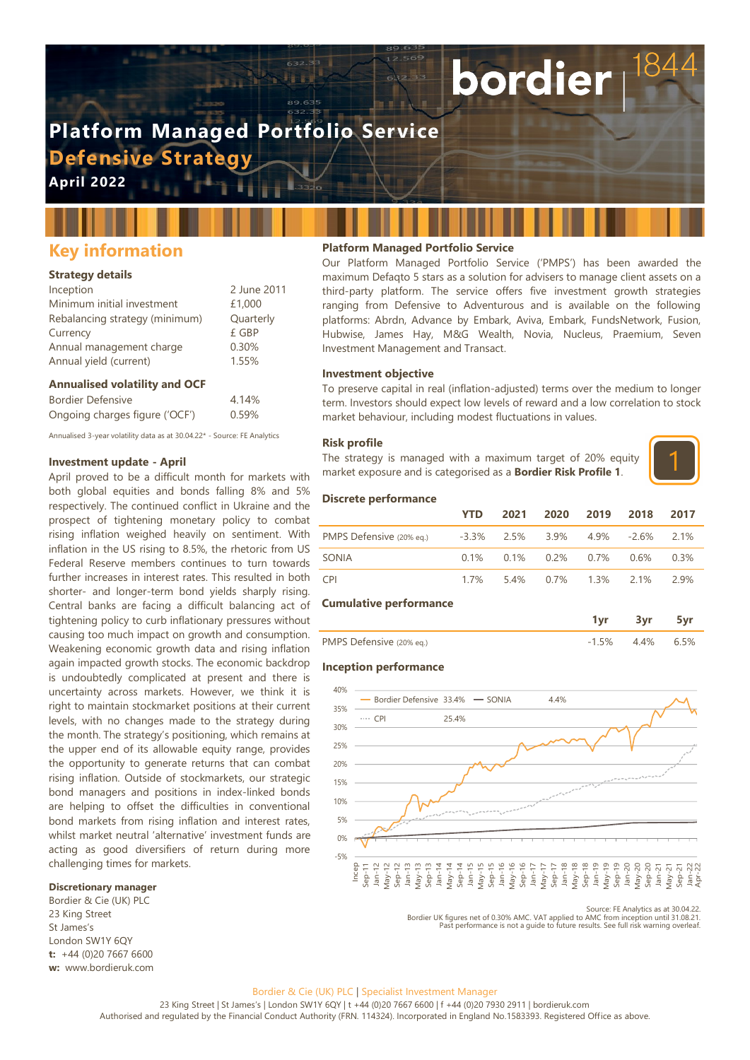# **Platform Managed Portfolio Service Defensive Strategy**

**April 2022**

# **Key information**

#### **Strategy details**

| Inception                      | 2 June 2011 |
|--------------------------------|-------------|
| Minimum initial investment     | £1,000      |
| Rebalancing strategy (minimum) | Quarterly   |
| Currency                       | £ GBP       |
| Annual management charge       | 0.30%       |
| Annual yield (current)         | 1.55%       |

#### **Annualised volatility and OCF**

| <b>Bordier Defensive</b>       | 4.14% |
|--------------------------------|-------|
| Ongoing charges figure ('OCF') | 0.59% |

Annualised 3-year volatility data as at 30.04.22\* - Source: FE Analytics

# **Investment update - April**

April proved to be a difficult month for markets with both global equities and bonds falling 8% and 5% respectively. The continued conflict in Ukraine and the prospect of tightening monetary policy to combat rising inflation weighed heavily on sentiment. With inflation in the US rising to 8.5%, the rhetoric from US Federal Reserve members continues to turn towards further increases in interest rates. This resulted in both shorter- and longer-term bond yields sharply rising. Central banks are facing a difficult balancing act of tightening policy to curb inflationary pressures without causing too much impact on growth and consumption. Weakening economic growth data and rising inflation again impacted growth stocks. The economic backdrop is undoubtedly complicated at present and there is uncertainty across markets. However, we think it is right to maintain stockmarket positions at their current levels, with no changes made to the strategy during the month. The strategy's positioning, which remains at the upper end of its allowable equity range, provides the opportunity to generate returns that can combat rising inflation. Outside of stockmarkets, our strategic bond managers and positions in index-linked bonds are helping to offset the difficulties in conventional bond markets from rising inflation and interest rates, whilst market neutral 'alternative' investment funds are acting as good diversifiers of return during more challenging times for markets.

# **Discretionary manager**

Bordier & Cie (UK) PLC 23 King Street St James's London SW1Y 6QY **t:** +44 (0)20 7667 6600 **w:** www.bordieruk.com

#### **Platform Managed Portfolio Service**

Our Platform Managed Portfolio Service ('PMPS') has been awarded the maximum Defaqto 5 stars as a solution for advisers to manage client assets on a third-party platform. The service offers five investment growth strategies ranging from Defensive to Adventurous and is available on the following platforms: Abrdn, Advance by Embark, Aviva, Embark, FundsNetwork, Fusion, Hubwise, James Hay, M&G Wealth, Novia, Nucleus, Praemium, Seven Investment Management and Transact.

bordier

#### **Investment objective**

To preserve capital in real (inflation-adjusted) terms over the medium to longer term. Investors should expect low levels of reward and a low correlation to stock market behaviour, including modest fluctuations in values.

#### **Risk profile**

The strategy is managed with a maximum target of 20% equity market exposure and is categorised as a **Bordier Risk Profile 1**.



#### **Discrete performance**

|                          | <b>YTD</b> | 2021 2020 2019 2018 2017                        |  |     |
|--------------------------|------------|-------------------------------------------------|--|-----|
| PMPS Defensive (20% eg.) |            | $-3.3\%$ 2.5% 3.9% 4.9% -2.6% 2.1%              |  |     |
| SONIA                    |            | $0.1\%$ $0.1\%$ $0.2\%$ $0.7\%$ $0.6\%$ $0.3\%$ |  |     |
| <b>CPI</b>               | 1 7%       | 5.4% 0.7% 1.3% 2.1%                             |  | 29% |

#### **Cumulative performance**

|                          | 3 <sub>vr</sub> |     |
|--------------------------|-----------------|-----|
| PMPS Defensive (20% eq.) | $-1.5\%$ 4.4%   | 65% |

# **Inception performance**



Source: FE Analytics as at 30.04.22.<br>Bordier UK figures net of 0.30% AMC. VAT applied to AMC from inception until 31.08.21.<br>Past performance is not a quide to future results. See full risk warning overleaf.

#### Bordier & Cie (UK) PLC | Specialist Investment Manager

23 King Street | St James's | London SW1Y 6QY | t +44 (0)20 7667 6600 | f +44 (0)20 7930 2911 | bordieruk.com Authorised and regulated by the Financial Conduct Authority (FRN. 114324). Incorporated in England No.1583393. Registered Office as above.